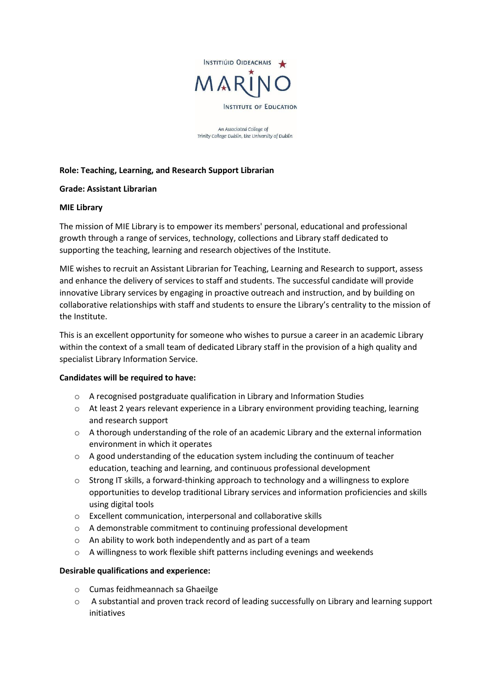

An Associated College of Trinity College Dublin, the University of Dublin

## **Role: Teaching, Learning, and Research Support Librarian**

### **Grade: Assistant Librarian**

#### **MIE Library**

The mission of MIE Library is to empower its members' personal, educational and professional growth through a range of services, technology, collections and Library staff dedicated to supporting the teaching, learning and research objectives of the Institute.

MIE wishes to recruit an Assistant Librarian for Teaching, Learning and Research to support, assess and enhance the delivery of services to staff and students. The successful candidate will provide innovative Library services by engaging in proactive outreach and instruction, and by building on collaborative relationships with staff and students to ensure the Library's centrality to the mission of the Institute.

This is an excellent opportunity for someone who wishes to pursue a career in an academic Library within the context of a small team of dedicated Library staff in the provision of a high quality and specialist Library Information Service.

### **Candidates will be required to have:**

- $\circ$  A recognised postgraduate qualification in Library and Information Studies
- $\circ$  At least 2 years relevant experience in a Library environment providing teaching, learning and research support
- $\circ$  A thorough understanding of the role of an academic Library and the external information environment in which it operates
- $\circ$  A good understanding of the education system including the continuum of teacher education, teaching and learning, and continuous professional development
- o Strong IT skills, a forward-thinking approach to technology and a willingness to explore opportunities to develop traditional Library services and information proficiencies and skills using digital tools
- o Excellent communication, interpersonal and collaborative skills
- o A demonstrable commitment to continuing professional development
- o An ability to work both independently and as part of a team
- $\circ$  A willingness to work flexible shift patterns including evenings and weekends

### **Desirable qualifications and experience:**

- o Cumas feidhmeannach sa Ghaeilge
- o A substantial and proven track record of leading successfully on Library and learning support initiatives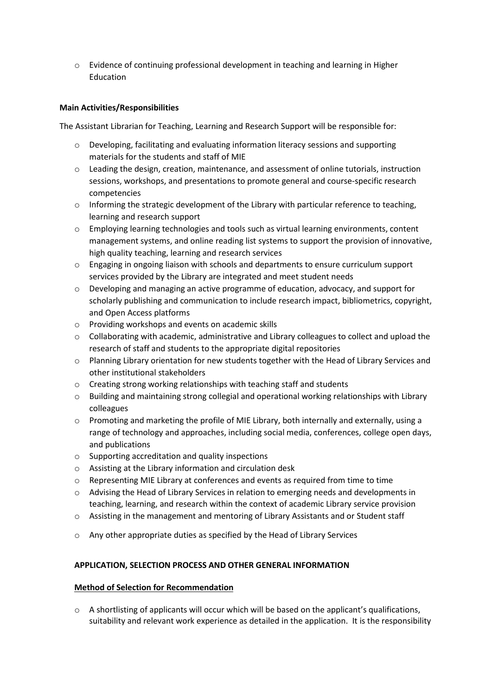o Evidence of continuing professional development in teaching and learning in Higher Education

# **Main Activities/Responsibilities**

The Assistant Librarian for Teaching, Learning and Research Support will be responsible for:

- $\circ$  Developing, facilitating and evaluating information literacy sessions and supporting materials for the students and staff of MIE
- $\circ$  Leading the design, creation, maintenance, and assessment of online tutorials, instruction sessions, workshops, and presentations to promote general and course-specific research competencies
- $\circ$  Informing the strategic development of the Library with particular reference to teaching, learning and research support
- o Employing learning technologies and tools such as virtual learning environments, content management systems, and online reading list systems to support the provision of innovative, high quality teaching, learning and research services
- o Engaging in ongoing liaison with schools and departments to ensure curriculum support services provided by the Library are integrated and meet student needs
- $\circ$  Developing and managing an active programme of education, advocacy, and support for scholarly publishing and communication to include research impact, bibliometrics, copyright, and Open Access platforms
- o Providing workshops and events on academic skills
- $\circ$  Collaborating with academic, administrative and Library colleagues to collect and upload the research of staff and students to the appropriate digital repositories
- o Planning Library orientation for new students together with the Head of Library Services and other institutional stakeholders
- o Creating strong working relationships with teaching staff and students
- o Building and maintaining strong collegial and operational working relationships with Library colleagues
- o Promoting and marketing the profile of MIE Library, both internally and externally, using a range of technology and approaches, including social media, conferences, college open days, and publications
- o Supporting accreditation and quality inspections
- o Assisting at the Library information and circulation desk
- o Representing MIE Library at conferences and events as required from time to time
- o Advising the Head of Library Services in relation to emerging needs and developments in teaching, learning, and research within the context of academic Library service provision
- $\circ$  Assisting in the management and mentoring of Library Assistants and or Student staff
- o Any other appropriate duties as specified by the Head of Library Services

### **APPLICATION, SELECTION PROCESS AND OTHER GENERAL INFORMATION**

### **Method of Selection for Recommendation**

o A shortlisting of applicants will occur which will be based on the applicant's qualifications, suitability and relevant work experience as detailed in the application. It is the responsibility